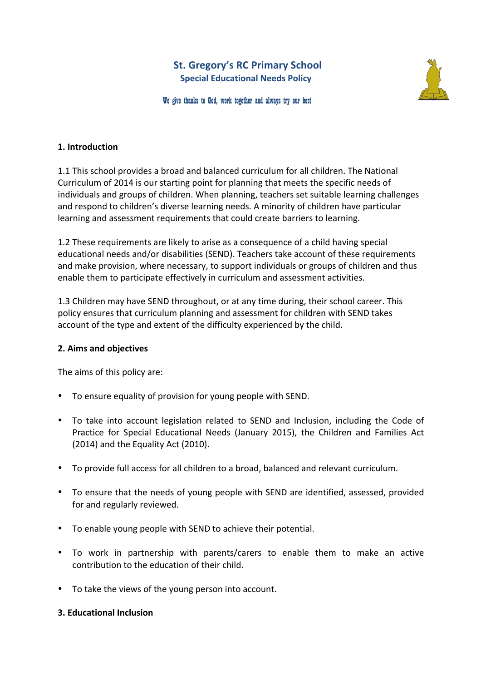# **St. Gregory's RC Primary School Special Educational Needs Policy**



We give thanks to God, work together and always try our best

### **1. Introduction**

1.1 This school provides a broad and balanced curriculum for all children. The National Curriculum of 2014 is our starting point for planning that meets the specific needs of individuals and groups of children. When planning, teachers set suitable learning challenges and respond to children's diverse learning needs. A minority of children have particular learning and assessment requirements that could create barriers to learning.

1.2 These requirements are likely to arise as a consequence of a child having special educational needs and/or disabilities (SEND). Teachers take account of these requirements and make provision, where necessary, to support individuals or groups of children and thus enable them to participate effectively in curriculum and assessment activities.

1.3 Children may have SEND throughout, or at any time during, their school career. This policy ensures that curriculum planning and assessment for children with SEND takes account of the type and extent of the difficulty experienced by the child.

### **2. Aims and objectives**

The aims of this policy are:

- To ensure equality of provision for young people with SEND.
- To take into account legislation related to SEND and Inclusion, including the Code of Practice for Special Educational Needs (January 2015), the Children and Families Act  $(2014)$  and the Equality Act  $(2010)$ .
- To provide full access for all children to a broad, balanced and relevant curriculum.
- To ensure that the needs of young people with SEND are identified, assessed, provided for and regularly reviewed.
- To enable young people with SEND to achieve their potential.
- To work in partnership with parents/carers to enable them to make an active contribution to the education of their child.
- To take the views of the young person into account.

### **3. Educational Inclusion**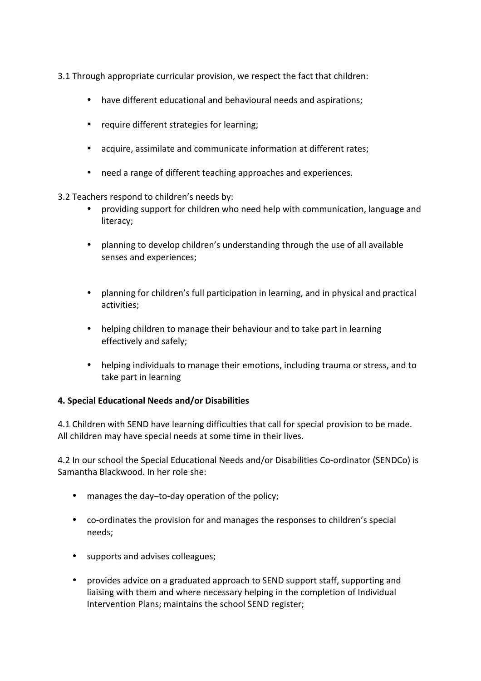- 3.1 Through appropriate curricular provision, we respect the fact that children:
	- have different educational and behavioural needs and aspirations;
	- require different strategies for learning;
	- acquire, assimilate and communicate information at different rates;
	- need a range of different teaching approaches and experiences.
- 3.2 Teachers respond to children's needs by:
	- providing support for children who need help with communication, language and literacy;
	- planning to develop children's understanding through the use of all available senses and experiences;
	- planning for children's full participation in learning, and in physical and practical activities;
	- helping children to manage their behaviour and to take part in learning effectively and safely;
	- helping individuals to manage their emotions, including trauma or stress, and to take part in learning

# **4. Special Educational Needs and/or Disabilities**

4.1 Children with SEND have learning difficulties that call for special provision to be made. All children may have special needs at some time in their lives.

4.2 In our school the Special Educational Needs and/or Disabilities Co-ordinator (SENDCo) is Samantha Blackwood. In her role she:

- manages the day-to-day operation of the policy;
- co-ordinates the provision for and manages the responses to children's special needs;
- supports and advises colleagues;
- provides advice on a graduated approach to SEND support staff, supporting and liaising with them and where necessary helping in the completion of Individual Intervention Plans; maintains the school SEND register;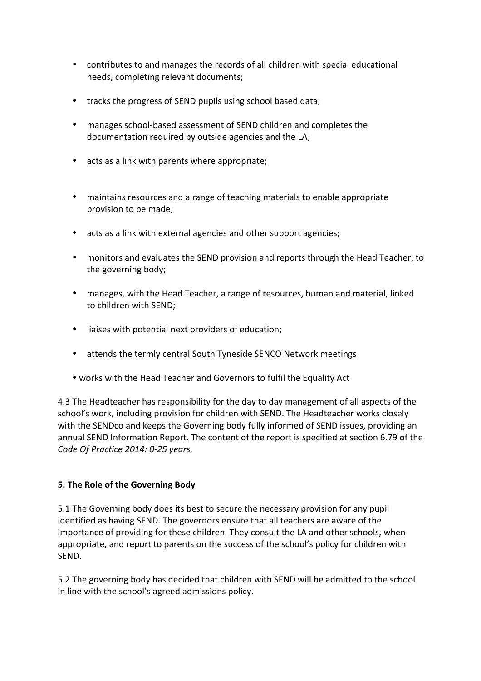- contributes to and manages the records of all children with special educational needs, completing relevant documents;
- tracks the progress of SEND pupils using school based data;
- manages school-based assessment of SEND children and completes the documentation required by outside agencies and the LA;
- acts as a link with parents where appropriate;
- maintains resources and a range of teaching materials to enable appropriate provision to be made:
- acts as a link with external agencies and other support agencies;
- monitors and evaluates the SEND provision and reports through the Head Teacher, to the governing body;
- manages, with the Head Teacher, a range of resources, human and material, linked to children with SEND;
- liaises with potential next providers of education;
- attends the termly central South Tyneside SENCO Network meetings
- works with the Head Teacher and Governors to fulfil the Equality Act

4.3 The Headteacher has responsibility for the day to day management of all aspects of the school's work, including provision for children with SEND. The Headteacher works closely with the SENDco and keeps the Governing body fully informed of SEND issues, providing an annual SEND Information Report. The content of the report is specified at section 6.79 of the *Code Of Practice 2014: 0-25 years.*

# **5. The Role of the Governing Body**

5.1 The Governing body does its best to secure the necessary provision for any pupil identified as having SEND. The governors ensure that all teachers are aware of the importance of providing for these children. They consult the LA and other schools, when appropriate, and report to parents on the success of the school's policy for children with SEND. 

5.2 The governing body has decided that children with SEND will be admitted to the school in line with the school's agreed admissions policy.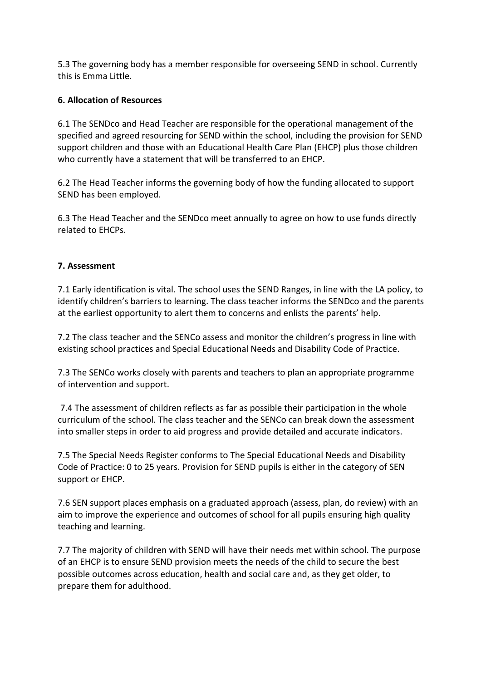5.3 The governing body has a member responsible for overseeing SEND in school. Currently this is Emma Little.

# **6. Allocation of Resources**

6.1 The SENDco and Head Teacher are responsible for the operational management of the specified and agreed resourcing for SEND within the school, including the provision for SEND support children and those with an Educational Health Care Plan (EHCP) plus those children who currently have a statement that will be transferred to an EHCP.

6.2 The Head Teacher informs the governing body of how the funding allocated to support SEND has been employed.

6.3 The Head Teacher and the SENDco meet annually to agree on how to use funds directly related to EHCPs.

### **7. Assessment**

7.1 Early identification is vital. The school uses the SEND Ranges, in line with the LA policy, to identify children's barriers to learning. The class teacher informs the SENDco and the parents at the earliest opportunity to alert them to concerns and enlists the parents' help.

7.2 The class teacher and the SENCo assess and monitor the children's progress in line with existing school practices and Special Educational Needs and Disability Code of Practice.

7.3 The SENCo works closely with parents and teachers to plan an appropriate programme of intervention and support.

7.4 The assessment of children reflects as far as possible their participation in the whole curriculum of the school. The class teacher and the SENCo can break down the assessment into smaller steps in order to aid progress and provide detailed and accurate indicators.

7.5 The Special Needs Register conforms to The Special Educational Needs and Disability Code of Practice: 0 to 25 years. Provision for SEND pupils is either in the category of SEN support or EHCP.

7.6 SEN support places emphasis on a graduated approach (assess, plan, do review) with an aim to improve the experience and outcomes of school for all pupils ensuring high quality teaching and learning.

7.7 The majority of children with SEND will have their needs met within school. The purpose of an EHCP is to ensure SEND provision meets the needs of the child to secure the best possible outcomes across education, health and social care and, as they get older, to prepare them for adulthood.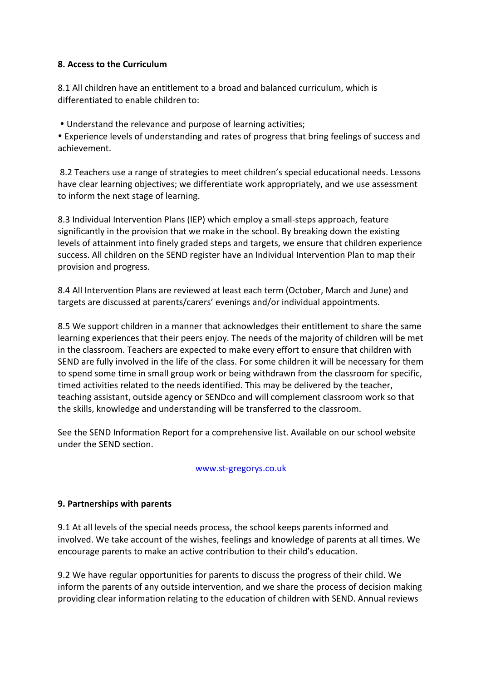# **8. Access to the Curriculum**

8.1 All children have an entitlement to a broad and balanced curriculum, which is differentiated to enable children to:

• Understand the relevance and purpose of learning activities;

• Experience levels of understanding and rates of progress that bring feelings of success and achievement. 

8.2 Teachers use a range of strategies to meet children's special educational needs. Lessons have clear learning objectives; we differentiate work appropriately, and we use assessment to inform the next stage of learning.

8.3 Individual Intervention Plans (IEP) which employ a small-steps approach, feature significantly in the provision that we make in the school. By breaking down the existing levels of attainment into finely graded steps and targets, we ensure that children experience success. All children on the SEND register have an Individual Intervention Plan to map their provision and progress.

8.4 All Intervention Plans are reviewed at least each term (October, March and June) and targets are discussed at parents/carers' evenings and/or individual appointments.

8.5 We support children in a manner that acknowledges their entitlement to share the same learning experiences that their peers enjoy. The needs of the majority of children will be met in the classroom. Teachers are expected to make every effort to ensure that children with SEND are fully involved in the life of the class. For some children it will be necessary for them to spend some time in small group work or being withdrawn from the classroom for specific, timed activities related to the needs identified. This may be delivered by the teacher, teaching assistant, outside agency or SENDco and will complement classroom work so that the skills, knowledge and understanding will be transferred to the classroom.

See the SEND Information Report for a comprehensive list. Available on our school website under the SEND section.

### www.st-gregorys.co.uk

# **9. Partnerships with parents**

9.1 At all levels of the special needs process, the school keeps parents informed and involved. We take account of the wishes, feelings and knowledge of parents at all times. We encourage parents to make an active contribution to their child's education.

9.2 We have regular opportunities for parents to discuss the progress of their child. We inform the parents of any outside intervention, and we share the process of decision making providing clear information relating to the education of children with SEND. Annual reviews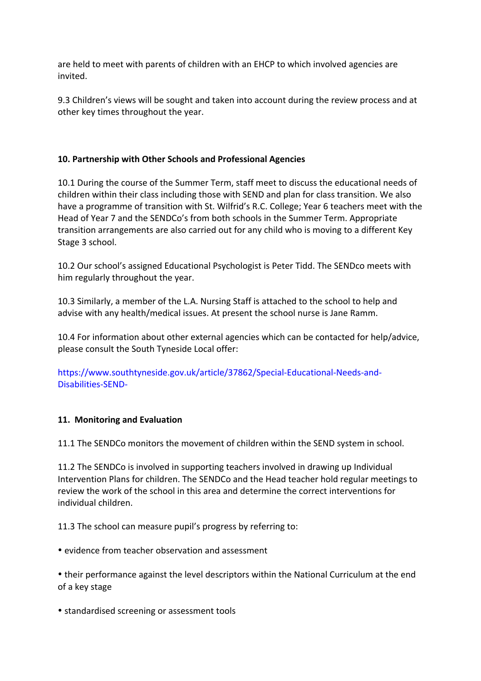are held to meet with parents of children with an EHCP to which involved agencies are invited.

9.3 Children's views will be sought and taken into account during the review process and at other key times throughout the year.

# 10. Partnership with Other Schools and Professional Agencies

10.1 During the course of the Summer Term, staff meet to discuss the educational needs of children within their class including those with SEND and plan for class transition. We also have a programme of transition with St. Wilfrid's R.C. College; Year 6 teachers meet with the Head of Year 7 and the SENDCo's from both schools in the Summer Term. Appropriate transition arrangements are also carried out for any child who is moving to a different Key Stage 3 school.

10.2 Our school's assigned Educational Psychologist is Peter Tidd. The SENDco meets with him regularly throughout the year.

10.3 Similarly, a member of the L.A. Nursing Staff is attached to the school to help and advise with any health/medical issues. At present the school nurse is Jane Ramm.

10.4 For information about other external agencies which can be contacted for help/advice, please consult the South Tyneside Local offer:

https://www.southtyneside.gov.uk/article/37862/Special-Educational-Needs-and-Disabilities-SEND-

# 11. Monitoring and Evaluation

11.1 The SENDCo monitors the movement of children within the SEND system in school.

11.2 The SENDCo is involved in supporting teachers involved in drawing up Individual Intervention Plans for children. The SENDCo and the Head teacher hold regular meetings to review the work of the school in this area and determine the correct interventions for individual children. 

11.3 The school can measure pupil's progress by referring to:

• evidence from teacher observation and assessment

• their performance against the level descriptors within the National Curriculum at the end of a key stage

• standardised screening or assessment tools